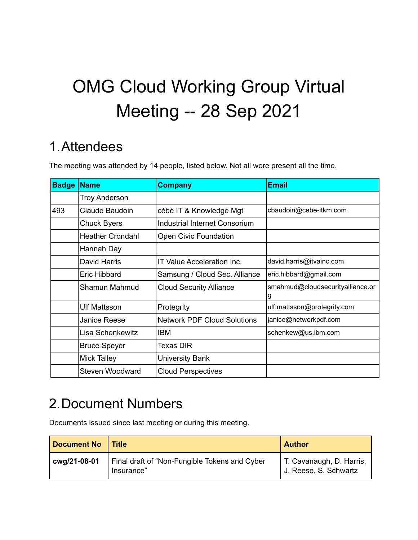# OMG Cloud Working Group Virtual Meeting -- 28 Sep 2021

# 1.Attendees

The meeting was attended by 14 people, listed below. Not all were present all the time.

| <b>Badge</b> | <b>Name</b>             | <b>Company</b>                     | <b>Email</b>                          |
|--------------|-------------------------|------------------------------------|---------------------------------------|
|              | <b>Troy Anderson</b>    |                                    |                                       |
| 493          | Claude Baudoin          | cébé IT & Knowledge Mgt            | cbaudoin@cebe-itkm.com                |
|              | <b>Chuck Byers</b>      | Industrial Internet Consorium      |                                       |
|              | <b>Heather Crondahl</b> | <b>Open Civic Foundation</b>       |                                       |
|              | Hannah Day              |                                    |                                       |
|              | David Harris            | <b>IT Value Acceleration Inc.</b>  | david.harris@itvainc.com              |
|              | Eric Hibbard            | Samsung / Cloud Sec. Alliance      | eric.hibbard@gmail.com                |
|              | Shamun Mahmud           | <b>Cloud Security Alliance</b>     | smahmud@cloudsecurityalliance.or<br>g |
|              | <b>Ulf Mattsson</b>     | Protegrity                         | ulf.mattsson@protegrity.com           |
|              | <b>Janice Reese</b>     | <b>Network PDF Cloud Solutions</b> | janice@networkpdf.com                 |
|              | Lisa Schenkewitz        | <b>IBM</b>                         | schenkew@us.ibm.com                   |
|              | <b>Bruce Speyer</b>     | <b>Texas DIR</b>                   |                                       |
|              | <b>Mick Talley</b>      | <b>University Bank</b>             |                                       |
|              | Steven Woodward         | <b>Cloud Perspectives</b>          |                                       |

# 2.Document Numbers

Documents issued since last meeting or during this meeting.

| <b>Document No</b> | <b>Title</b>                                                | <b>Author</b>                                       |
|--------------------|-------------------------------------------------------------|-----------------------------------------------------|
| cwg/21-08-01       | Final draft of "Non-Fungible Tokens and Cyber<br>Insurance" | I T. Cavanaugh, D. Harris,<br>J. Reese, S. Schwartz |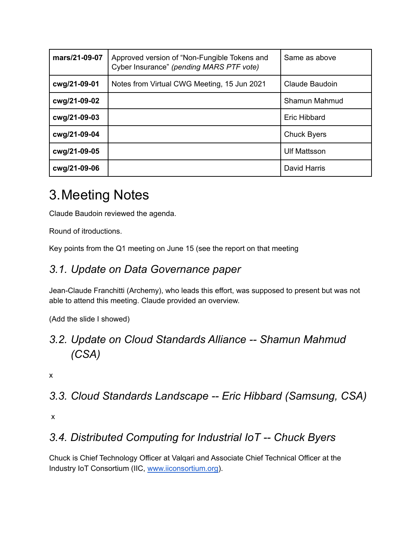| mars/21-09-07 | Approved version of "Non-Fungible Tokens and<br>Cyber Insurance" (pending MARS PTF vote) | Same as above       |
|---------------|------------------------------------------------------------------------------------------|---------------------|
| cwg/21-09-01  | Notes from Virtual CWG Meeting, 15 Jun 2021                                              | Claude Baudoin      |
| cwg/21-09-02  |                                                                                          | Shamun Mahmud       |
| cwg/21-09-03  |                                                                                          | <b>Eric Hibbard</b> |
| cwg/21-09-04  |                                                                                          | <b>Chuck Byers</b>  |
| cwg/21-09-05  |                                                                                          | <b>Ulf Mattsson</b> |
| cwg/21-09-06  |                                                                                          | David Harris        |

# 3.Meeting Notes

Claude Baudoin reviewed the agenda.

Round of itroductions.

Key points from the Q1 meeting on June 15 (see the report on that meeting

### *3.1. Update on Data Governance paper*

Jean-Claude Franchitti (Archemy), who leads this effort, was supposed to present but was not able to attend this meeting. Claude provided an overview.

(Add the slide I showed)

# *3.2. Update on Cloud Standards Alliance -- Shamun Mahmud (CSA)*

x

*3.3. Cloud Standards Landscape -- Eric Hibbard (Samsung, CSA)*

x

# *3.4. Distributed Computing for Industrial IoT -- Chuck Byers*

Chuck is Chief Technology Officer at Valqari and Associate Chief Technical Officer at the Industry IoT Consortium (IIC, [www.iiconsortium.org](http://www.iiconsortium.org)).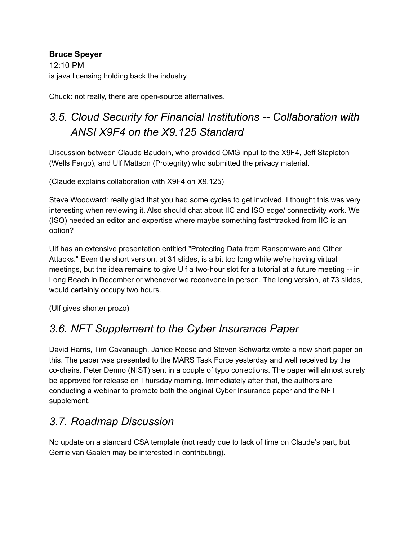#### **Bruce Speyer**

12:10 PM is java licensing holding back the industry

Chuck: not really, there are open-source alternatives.

# *3.5. Cloud Security for Financial Institutions -- Collaboration with ANSI X9F4 on the X9.125 Standard*

Discussion between Claude Baudoin, who provided OMG input to the X9F4, Jeff Stapleton (Wells Fargo), and Ulf Mattson (Protegrity) who submitted the privacy material.

(Claude explains collaboration with X9F4 on X9.125)

Steve Woodward: really glad that you had some cycles to get involved, I thought this was very interesting when reviewing it. Also should chat about IIC and ISO edge/ connectivity work. We (ISO) needed an editor and expertise where maybe something fast=tracked from IIC is an option?

Ulf has an extensive presentation entitled "Protecting Data from Ransomware and Other Attacks." Even the short version, at 31 slides, is a bit too long while we're having virtual meetings, but the idea remains to give Ulf a two-hour slot for a tutorial at a future meeting -- in Long Beach in December or whenever we reconvene in person. The long version, at 73 slides, would certainly occupy two hours.

(Ulf gives shorter prozo)

# *3.6. NFT Supplement to the Cyber Insurance Paper*

David Harris, Tim Cavanaugh, Janice Reese and Steven Schwartz wrote a new short paper on this. The paper was presented to the MARS Task Force yesterday and well received by the co-chairs. Peter Denno (NIST) sent in a couple of typo corrections. The paper will almost surely be approved for release on Thursday morning. Immediately after that, the authors are conducting a webinar to promote both the original Cyber Insurance paper and the NFT supplement.

### *3.7. Roadmap Discussion*

No update on a standard CSA template (not ready due to lack of time on Claude's part, but Gerrie van Gaalen may be interested in contributing).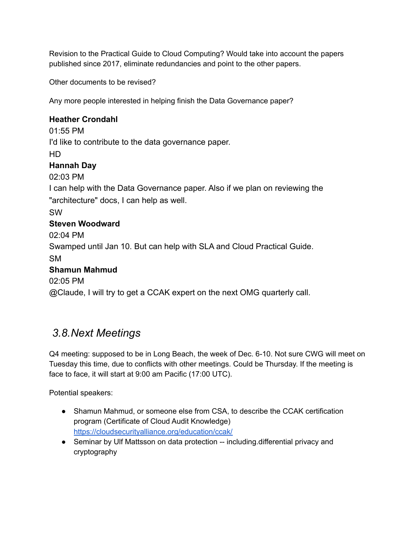Revision to the Practical Guide to Cloud Computing? Would take into account the papers published since 2017, eliminate redundancies and point to the other papers.

Other documents to be revised?

Any more people interested in helping finish the Data Governance paper?

#### **Heather Crondahl**

01:55 PM I'd like to contribute to the data governance paper. HD **Hannah Day** 02:03 PM I can help with the Data Governance paper. Also if we plan on reviewing the "architecture" docs, I can help as well. SW **Steven Woodward** 02:04 PM Swamped until Jan 10. But can help with SLA and Cloud Practical Guide. SM **Shamun Mahmud** 02:05 PM @Claude, I will try to get a CCAK expert on the next OMG quarterly call.

### *3.8.Next Meetings*

Q4 meeting: supposed to be in Long Beach, the week of Dec. 6-10. Not sure CWG will meet on Tuesday this time, due to conflicts with other meetings. Could be Thursday. If the meeting is face to face, it will start at 9:00 am Pacific (17:00 UTC).

Potential speakers:

- Shamun Mahmud, or someone else from CSA, to describe the CCAK certification program (Certificate of Cloud Audit Knowledge) <https://cloudsecurityalliance.org/education/ccak/>
- Seminar by Ulf Mattsson on data protection -- including.differential privacy and cryptography